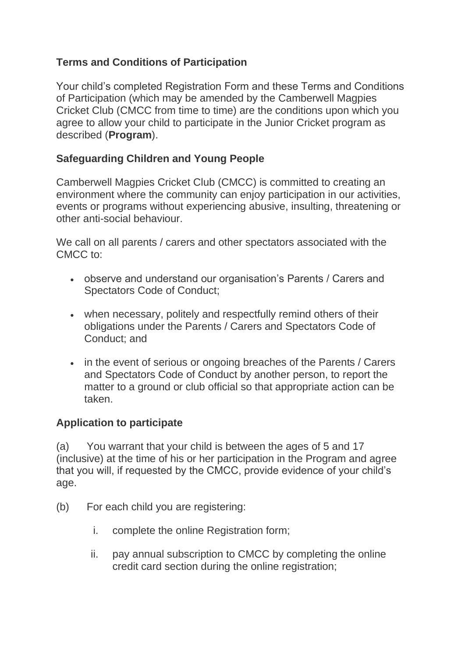### **Terms and Conditions of Participation**

Your child's completed Registration Form and these Terms and Conditions of Participation (which may be amended by the Camberwell Magpies Cricket Club (CMCC from time to time) are the conditions upon which you agree to allow your child to participate in the Junior Cricket program as described (**Program**).

### **Safeguarding Children and Young People**

Camberwell Magpies Cricket Club (CMCC) is committed to creating an environment where the community can enjoy participation in our activities, events or programs without experiencing abusive, insulting, threatening or other anti-social behaviour.

We call on all parents / carers and other spectators associated with the CMCC to:

- observe and understand our organisation's Parents / Carers and Spectators Code of Conduct;
- when necessary, politely and respectfully remind others of their obligations under the Parents / Carers and Spectators Code of Conduct; and
- in the event of serious or ongoing breaches of the Parents / Carers and Spectators Code of Conduct by another person, to report the matter to a ground or club official so that appropriate action can be taken.

### **Application to participate**

(a) You warrant that your child is between the ages of 5 and 17 (inclusive) at the time of his or her participation in the Program and agree that you will, if requested by the CMCC, provide evidence of your child's age.

- (b) For each child you are registering:
	- i. complete the online Registration form;
	- ii. pay annual subscription to CMCC by completing the online credit card section during the online registration;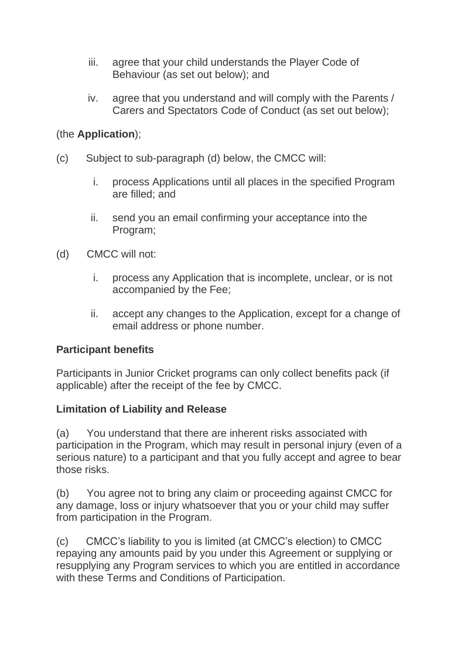- iii. agree that your child understands the Player Code of Behaviour (as set out below); and
- iv. agree that you understand and will comply with the Parents / Carers and Spectators Code of Conduct (as set out below);

### (the **Application**);

- (c) Subject to sub-paragraph (d) below, the CMCC will:
	- i. process Applications until all places in the specified Program are filled; and
	- ii. send you an email confirming your acceptance into the Program;
- (d) CMCC will not:
	- i. process any Application that is incomplete, unclear, or is not accompanied by the Fee;
	- ii. accept any changes to the Application, except for a change of email address or phone number.

### **Participant benefits**

Participants in Junior Cricket programs can only collect benefits pack (if applicable) after the receipt of the fee by CMCC.

### **Limitation of Liability and Release**

(a) You understand that there are inherent risks associated with participation in the Program, which may result in personal injury (even of a serious nature) to a participant and that you fully accept and agree to bear those risks.

(b) You agree not to bring any claim or proceeding against CMCC for any damage, loss or injury whatsoever that you or your child may suffer from participation in the Program.

(c) CMCC's liability to you is limited (at CMCC's election) to CMCC repaying any amounts paid by you under this Agreement or supplying or resupplying any Program services to which you are entitled in accordance with these Terms and Conditions of Participation.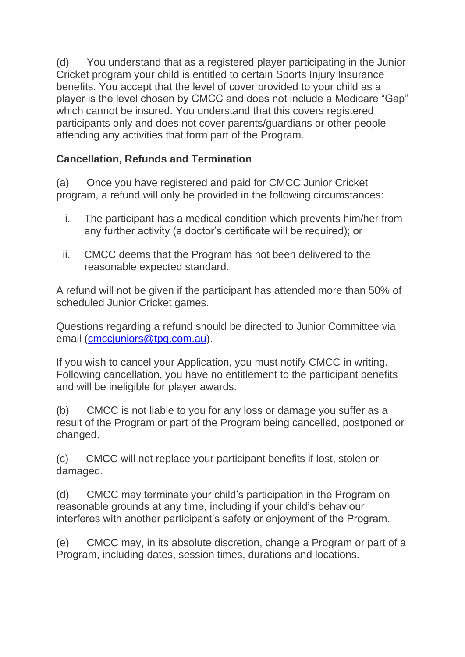(d) You understand that as a registered player participating in the Junior Cricket program your child is entitled to certain Sports Injury Insurance benefits. You accept that the level of cover provided to your child as a player is the level chosen by CMCC and does not include a Medicare "Gap" which cannot be insured. You understand that this covers registered participants only and does not cover parents/guardians or other people attending any activities that form part of the Program.

## **Cancellation, Refunds and Termination**

(a) Once you have registered and paid for CMCC Junior Cricket program, a refund will only be provided in the following circumstances:

- i. The participant has a medical condition which prevents him/her from any further activity (a doctor's certificate will be required); or
- ii. CMCC deems that the Program has not been delivered to the reasonable expected standard.

A refund will not be given if the participant has attended more than 50% of scheduled Junior Cricket games.

Questions regarding a refund should be directed to Junior Committee via email [\(cmccjuniors@tpg.com.au\)](mailto:cmccjuniors@tpg.com.au).

If you wish to cancel your Application, you must notify CMCC in writing. Following cancellation, you have no entitlement to the participant benefits and will be ineligible for player awards.

(b) CMCC is not liable to you for any loss or damage you suffer as a result of the Program or part of the Program being cancelled, postponed or changed.

(c) CMCC will not replace your participant benefits if lost, stolen or damaged.

(d) CMCC may terminate your child's participation in the Program on reasonable grounds at any time, including if your child's behaviour interferes with another participant's safety or enjoyment of the Program.

(e) CMCC may, in its absolute discretion, change a Program or part of a Program, including dates, session times, durations and locations.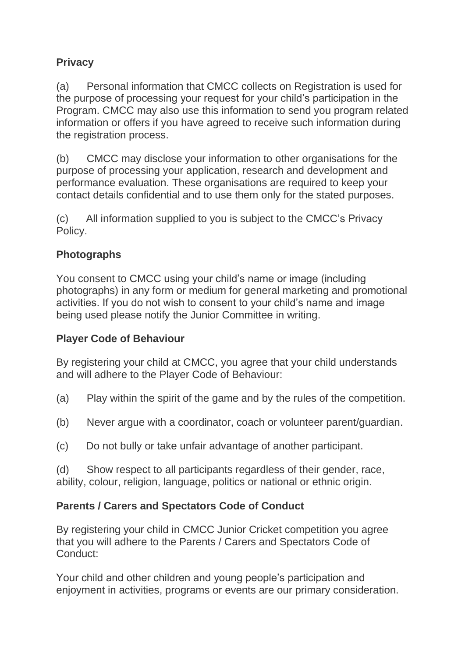# **Privacy**

(a) Personal information that CMCC collects on Registration is used for the purpose of processing your request for your child's participation in the Program. CMCC may also use this information to send you program related information or offers if you have agreed to receive such information during the registration process.

(b) CMCC may disclose your information to other organisations for the purpose of processing your application, research and development and performance evaluation. These organisations are required to keep your contact details confidential and to use them only for the stated purposes.

(c) All information supplied to you is subject to the CMCC's Privacy Policy.

# **Photographs**

You consent to CMCC using your child's name or image (including photographs) in any form or medium for general marketing and promotional activities. If you do not wish to consent to your child's name and image being used please notify the Junior Committee in writing.

## **Player Code of Behaviour**

By registering your child at CMCC, you agree that your child understands and will adhere to the Player Code of Behaviour:

- (a) Play within the spirit of the game and by the rules of the competition.
- (b) Never argue with a coordinator, coach or volunteer parent/guardian.
- (c) Do not bully or take unfair advantage of another participant.

(d) Show respect to all participants regardless of their gender, race, ability, colour, religion, language, politics or national or ethnic origin.

## **Parents / Carers and Spectators Code of Conduct**

By registering your child in CMCC Junior Cricket competition you agree that you will adhere to the Parents / Carers and Spectators Code of Conduct:

Your child and other children and young people's participation and enjoyment in activities, programs or events are our primary consideration.